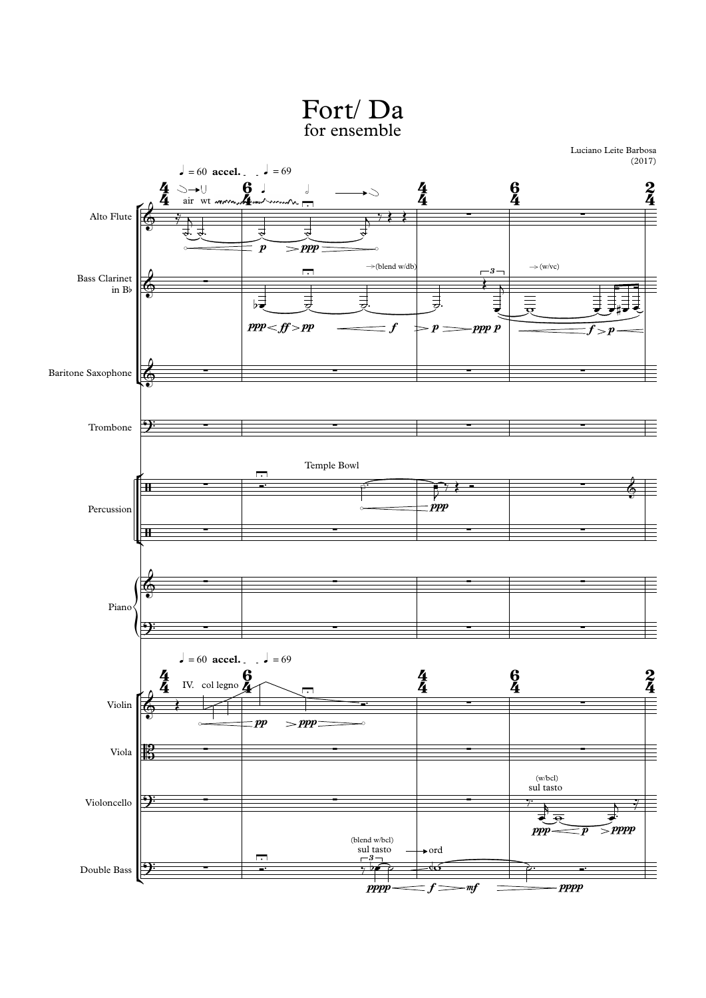

Luciano Leite Barbosa (2017)